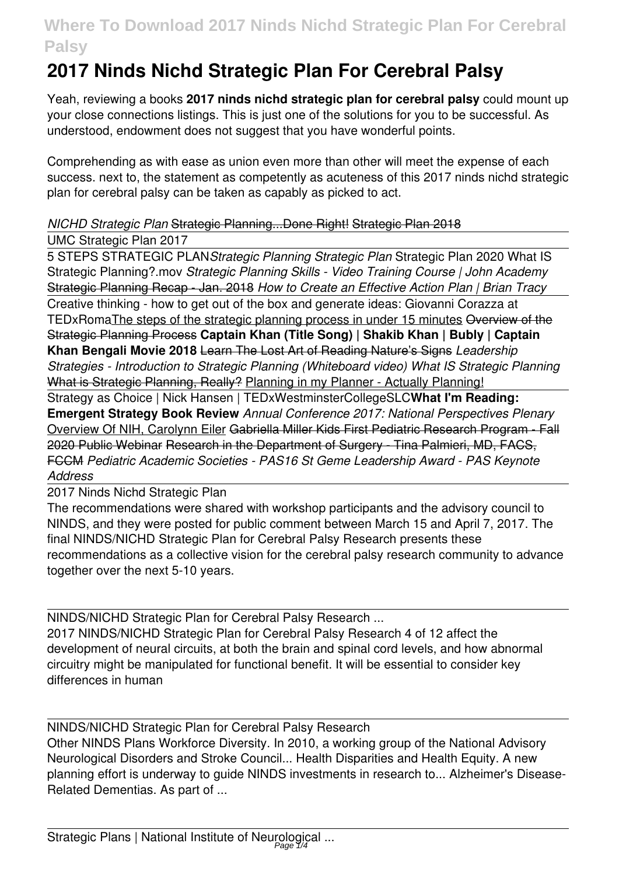# **2017 Ninds Nichd Strategic Plan For Cerebral Palsy**

Yeah, reviewing a books **2017 ninds nichd strategic plan for cerebral palsy** could mount up your close connections listings. This is just one of the solutions for you to be successful. As understood, endowment does not suggest that you have wonderful points.

Comprehending as with ease as union even more than other will meet the expense of each success. next to, the statement as competently as acuteness of this 2017 ninds nichd strategic plan for cerebral palsy can be taken as capably as picked to act.

# *NICHD Strategic Plan* Strategic Planning...Done Right! Strategic Plan 2018

#### UMC Strategic Plan 2017

5 STEPS STRATEGIC PLAN*Strategic Planning Strategic Plan* Strategic Plan 2020 What IS Strategic Planning?.mov *Strategic Planning Skills - Video Training Course | John Academy* Strategic Planning Recap - Jan. 2018 *How to Create an Effective Action Plan | Brian Tracy* Creative thinking - how to get out of the box and generate ideas: Giovanni Corazza at TEDxRomaThe steps of the strategic planning process in under 15 minutes Overview of the Strategic Planning Process **Captain Khan (Title Song) | Shakib Khan | Bubly | Captain Khan Bengali Movie 2018** Learn The Lost Art of Reading Nature's Signs *Leadership Strategies - Introduction to Strategic Planning (Whiteboard video) What IS Strategic Planning* What is Strategic Planning, Really? Planning in my Planner - Actually Planning!

Strategy as Choice | Nick Hansen | TEDxWestminsterCollegeSLC**What I'm Reading: Emergent Strategy Book Review** *Annual Conference 2017: National Perspectives Plenary* Overview Of NIH, Carolynn Eiler Gabriella Miller Kids First Pediatric Research Program - Fall 2020 Public Webinar Research in the Department of Surgery - Tina Palmieri, MD, FACS, FCCM *Pediatric Academic Societies - PAS16 St Geme Leadership Award - PAS Keynote Address*

2017 Ninds Nichd Strategic Plan

The recommendations were shared with workshop participants and the advisory council to NINDS, and they were posted for public comment between March 15 and April 7, 2017. The final NINDS/NICHD Strategic Plan for Cerebral Palsy Research presents these recommendations as a collective vision for the cerebral palsy research community to advance together over the next 5-10 years.

NINDS/NICHD Strategic Plan for Cerebral Palsy Research ... 2017 NINDS/NICHD Strategic Plan for Cerebral Palsy Research 4 of 12 affect the development of neural circuits, at both the brain and spinal cord levels, and how abnormal circuitry might be manipulated for functional benefit. It will be essential to consider key differences in human

NINDS/NICHD Strategic Plan for Cerebral Palsy Research

Other NINDS Plans Workforce Diversity. In 2010, a working group of the National Advisory Neurological Disorders and Stroke Council... Health Disparities and Health Equity. A new planning effort is underway to guide NINDS investments in research to... Alzheimer's Disease-Related Dementias. As part of ...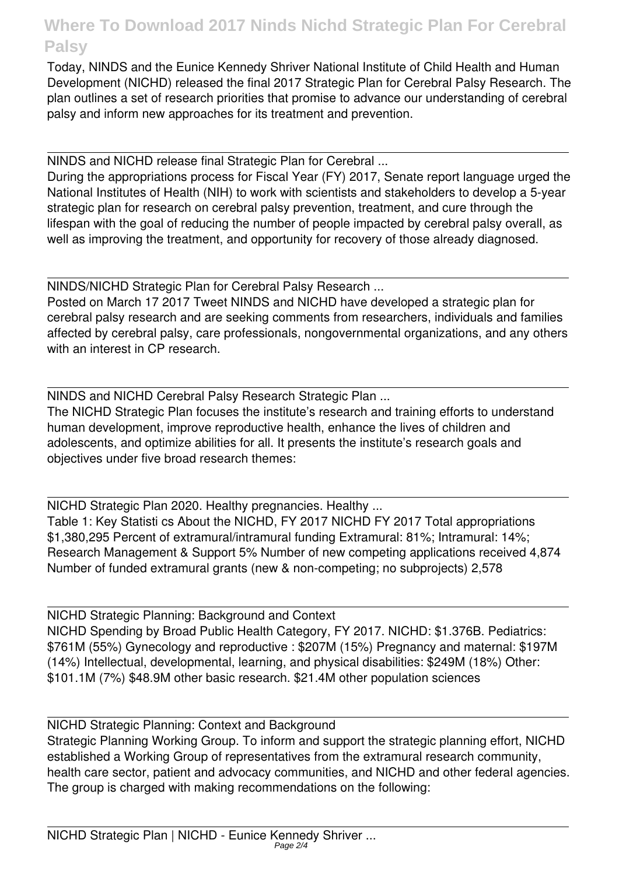Today, NINDS and the Eunice Kennedy Shriver National Institute of Child Health and Human Development (NICHD) released the final 2017 Strategic Plan for Cerebral Palsy Research. The plan outlines a set of research priorities that promise to advance our understanding of cerebral palsy and inform new approaches for its treatment and prevention.

NINDS and NICHD release final Strategic Plan for Cerebral ... During the appropriations process for Fiscal Year (FY) 2017, Senate report language urged the National Institutes of Health (NIH) to work with scientists and stakeholders to develop a 5-year strategic plan for research on cerebral palsy prevention, treatment, and cure through the lifespan with the goal of reducing the number of people impacted by cerebral palsy overall, as well as improving the treatment, and opportunity for recovery of those already diagnosed.

NINDS/NICHD Strategic Plan for Cerebral Palsy Research ...

Posted on March 17 2017 Tweet NINDS and NICHD have developed a strategic plan for cerebral palsy research and are seeking comments from researchers, individuals and families affected by cerebral palsy, care professionals, nongovernmental organizations, and any others with an interest in CP research.

NINDS and NICHD Cerebral Palsy Research Strategic Plan ...

The NICHD Strategic Plan focuses the institute's research and training efforts to understand human development, improve reproductive health, enhance the lives of children and adolescents, and optimize abilities for all. It presents the institute's research goals and objectives under five broad research themes:

NICHD Strategic Plan 2020. Healthy pregnancies. Healthy ... Table 1: Key Statisti cs About the NICHD, FY 2017 NICHD FY 2017 Total appropriations \$1,380,295 Percent of extramural/intramural funding Extramural: 81%; Intramural: 14%; Research Management & Support 5% Number of new competing applications received 4,874 Number of funded extramural grants (new & non-competing; no subprojects) 2,578

NICHD Strategic Planning: Background and Context NICHD Spending by Broad Public Health Category, FY 2017. NICHD: \$1.376B. Pediatrics: \$761M (55%) Gynecology and reproductive : \$207M (15%) Pregnancy and maternal: \$197M (14%) Intellectual, developmental, learning, and physical disabilities: \$249M (18%) Other: \$101.1M (7%) \$48.9M other basic research. \$21.4M other population sciences

NICHD Strategic Planning: Context and Background Strategic Planning Working Group. To inform and support the strategic planning effort, NICHD established a Working Group of representatives from the extramural research community, health care sector, patient and advocacy communities, and NICHD and other federal agencies. The group is charged with making recommendations on the following: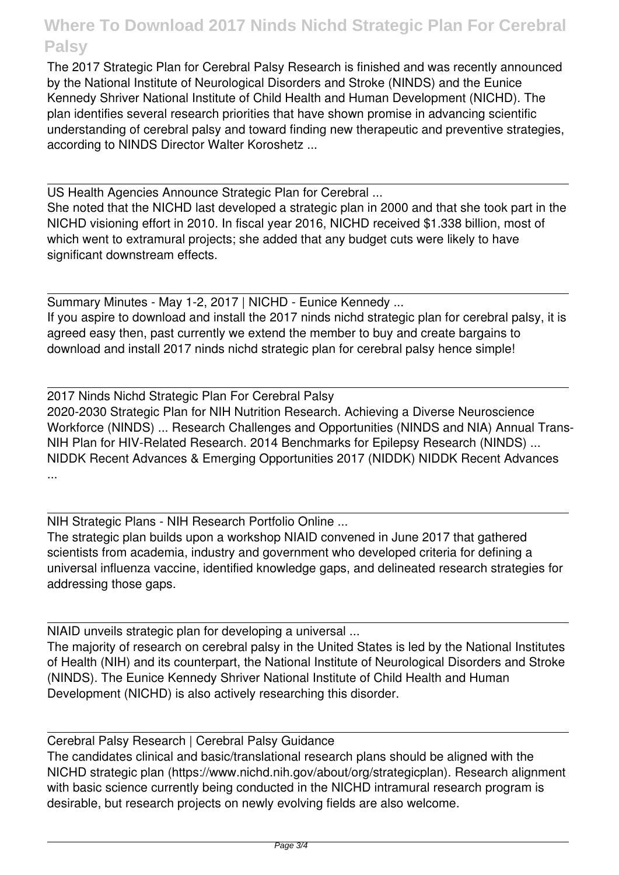The 2017 Strategic Plan for Cerebral Palsy Research is finished and was recently announced by the National Institute of Neurological Disorders and Stroke (NINDS) and the Eunice Kennedy Shriver National Institute of Child Health and Human Development (NICHD). The plan identifies several research priorities that have shown promise in advancing scientific understanding of cerebral palsy and toward finding new therapeutic and preventive strategies, according to NINDS Director Walter Koroshetz ...

US Health Agencies Announce Strategic Plan for Cerebral ...

She noted that the NICHD last developed a strategic plan in 2000 and that she took part in the NICHD visioning effort in 2010. In fiscal year 2016, NICHD received \$1.338 billion, most of which went to extramural projects; she added that any budget cuts were likely to have significant downstream effects.

Summary Minutes - May 1-2, 2017 | NICHD - Eunice Kennedy ... If you aspire to download and install the 2017 ninds nichd strategic plan for cerebral palsy, it is agreed easy then, past currently we extend the member to buy and create bargains to download and install 2017 ninds nichd strategic plan for cerebral palsy hence simple!

2017 Ninds Nichd Strategic Plan For Cerebral Palsy 2020-2030 Strategic Plan for NIH Nutrition Research. Achieving a Diverse Neuroscience Workforce (NINDS) ... Research Challenges and Opportunities (NINDS and NIA) Annual Trans-NIH Plan for HIV-Related Research. 2014 Benchmarks for Epilepsy Research (NINDS) ... NIDDK Recent Advances & Emerging Opportunities 2017 (NIDDK) NIDDK Recent Advances ...

NIH Strategic Plans - NIH Research Portfolio Online ...

The strategic plan builds upon a workshop NIAID convened in June 2017 that gathered scientists from academia, industry and government who developed criteria for defining a universal influenza vaccine, identified knowledge gaps, and delineated research strategies for addressing those gaps.

NIAID unveils strategic plan for developing a universal ... The majority of research on cerebral palsy in the United States is led by the National Institutes of Health (NIH) and its counterpart, the National Institute of Neurological Disorders and Stroke (NINDS). The Eunice Kennedy Shriver National Institute of Child Health and Human Development (NICHD) is also actively researching this disorder.

Cerebral Palsy Research | Cerebral Palsy Guidance The candidates clinical and basic/translational research plans should be aligned with the NICHD strategic plan (https://www.nichd.nih.gov/about/org/strategicplan). Research alignment with basic science currently being conducted in the NICHD intramural research program is desirable, but research projects on newly evolving fields are also welcome.